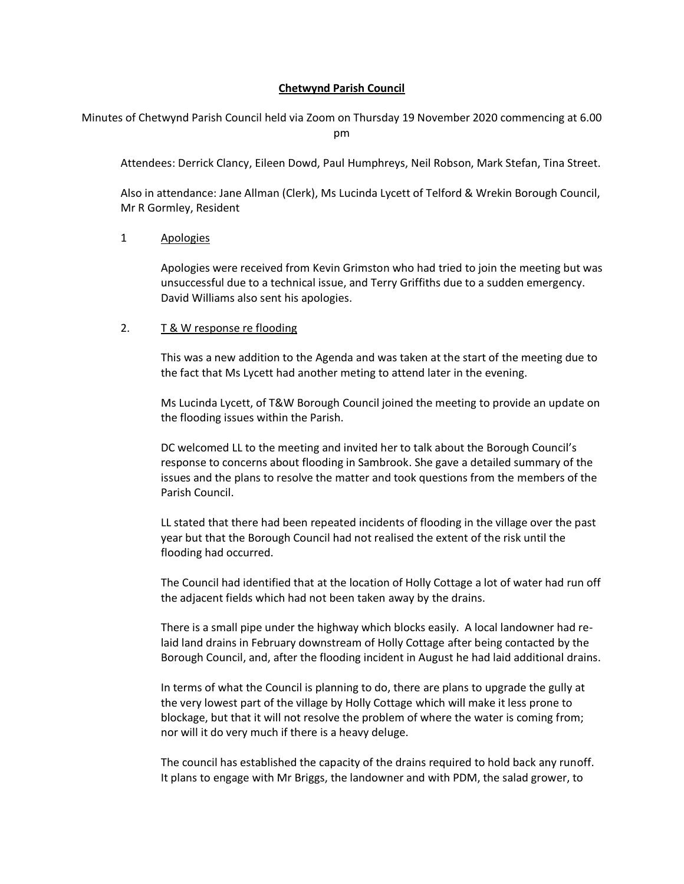# **Chetwynd Parish Council**

Minutes of Chetwynd Parish Council held via Zoom on Thursday 19 November 2020 commencing at 6.00 pm

Attendees: Derrick Clancy, Eileen Dowd, Paul Humphreys, Neil Robson, Mark Stefan, Tina Street.

Also in attendance: Jane Allman (Clerk), Ms Lucinda Lycett of Telford & Wrekin Borough Council, Mr R Gormley, Resident

### 1 Apologies

Apologies were received from Kevin Grimston who had tried to join the meeting but was unsuccessful due to a technical issue, and Terry Griffiths due to a sudden emergency. David Williams also sent his apologies.

## 2. T & W response re flooding

This was a new addition to the Agenda and was taken at the start of the meeting due to the fact that Ms Lycett had another meting to attend later in the evening.

Ms Lucinda Lycett, of T&W Borough Council joined the meeting to provide an update on the flooding issues within the Parish.

DC welcomed LL to the meeting and invited her to talk about the Borough Council's response to concerns about flooding in Sambrook. She gave a detailed summary of the issues and the plans to resolve the matter and took questions from the members of the Parish Council.

LL stated that there had been repeated incidents of flooding in the village over the past year but that the Borough Council had not realised the extent of the risk until the flooding had occurred.

The Council had identified that at the location of Holly Cottage a lot of water had run off the adjacent fields which had not been taken away by the drains.

There is a small pipe under the highway which blocks easily. A local landowner had relaid land drains in February downstream of Holly Cottage after being contacted by the Borough Council, and, after the flooding incident in August he had laid additional drains.

In terms of what the Council is planning to do, there are plans to upgrade the gully at the very lowest part of the village by Holly Cottage which will make it less prone to blockage, but that it will not resolve the problem of where the water is coming from; nor will it do very much if there is a heavy deluge.

The council has established the capacity of the drains required to hold back any runoff. It plans to engage with Mr Briggs, the landowner and with PDM, the salad grower, to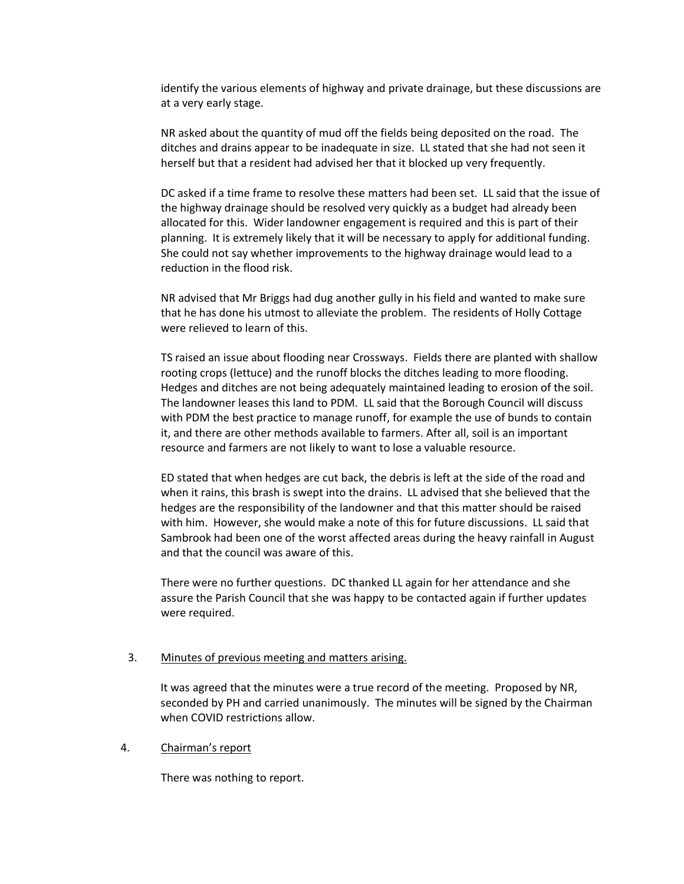identify the various elements of highway and private drainage, but these discussions are at a very early stage.

NR asked about the quantity of mud off the fields being deposited on the road. The ditches and drains appear to be inadequate in size. LL stated that she had not seen it herself but that a resident had advised her that it blocked up very frequently.

DC asked if a time frame to resolve these matters had been set. LL said that the issue of the highway drainage should be resolved very quickly as a budget had already been allocated for this. Wider landowner engagement is required and this is part of their planning. It is extremely likely that it will be necessary to apply for additional funding. She could not say whether improvements to the highway drainage would lead to a reduction in the flood risk.

NR advised that Mr Briggs had dug another gully in his field and wanted to make sure that he has done his utmost to alleviate the problem. The residents of Holly Cottage were relieved to learn of this.

TS raised an issue about flooding near Crossways. Fields there are planted with shallow rooting crops (lettuce) and the runoff blocks the ditches leading to more flooding. Hedges and ditches are not being adequately maintained leading to erosion of the soil. The landowner leases this land to PDM. LL said that the Borough Council will discuss with PDM the best practice to manage runoff, for example the use of bunds to contain it, and there are other methods available to farmers. After all, soil is an important resource and farmers are not likely to want to lose a valuable resource.

ED stated that when hedges are cut back, the debris is left at the side of the road and when it rains, this brash is swept into the drains. LL advised that she believed that the hedges are the responsibility of the landowner and that this matter should be raised with him. However, she would make a note of this for future discussions. LL said that Sambrook had been one of the worst affected areas during the heavy rainfall in August and that the council was aware of this.

There were no further questions. DC thanked LL again for her attendance and she assure the Parish Council that she was happy to be contacted again if further updates were required.

### 3. Minutes of previous meeting and matters arising.

It was agreed that the minutes were a true record of the meeting. Proposed by NR, seconded by PH and carried unanimously. The minutes will be signed by the Chairman when COVID restrictions allow.

## 4. Chairman's report

There was nothing to report.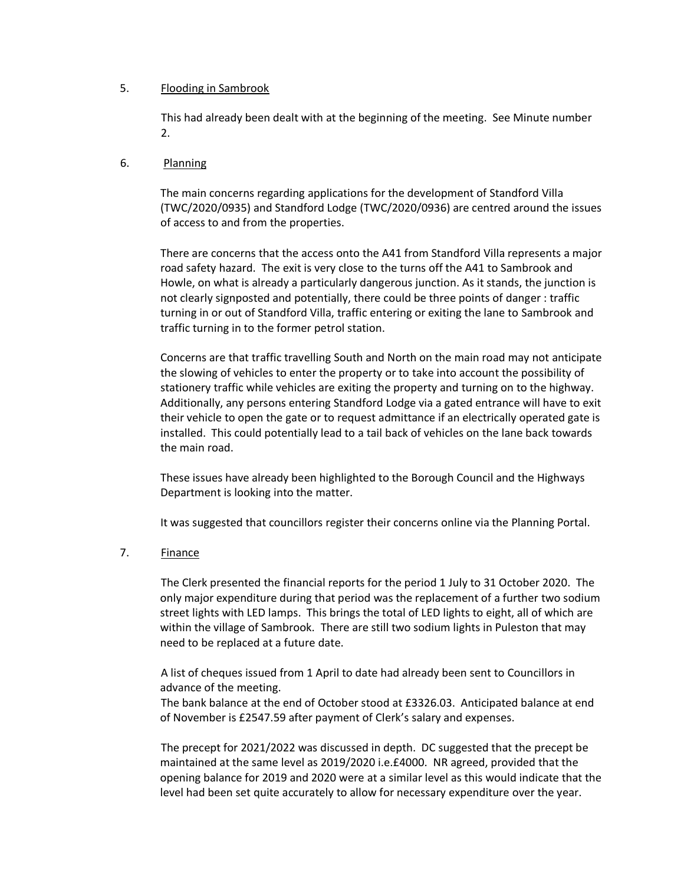# 5. Flooding in Sambrook

This had already been dealt with at the beginning of the meeting. See Minute number 2.

# 6. Planning

The main concerns regarding applications for the development of Standford Villa (TWC/2020/0935) and Standford Lodge (TWC/2020/0936) are centred around the issues of access to and from the properties.

There are concerns that the access onto the A41 from Standford Villa represents a major road safety hazard. The exit is very close to the turns off the A41 to Sambrook and Howle, on what is already a particularly dangerous junction. As it stands, the junction is not clearly signposted and potentially, there could be three points of danger : traffic turning in or out of Standford Villa, traffic entering or exiting the lane to Sambrook and traffic turning in to the former petrol station.

Concerns are that traffic travelling South and North on the main road may not anticipate the slowing of vehicles to enter the property or to take into account the possibility of stationery traffic while vehicles are exiting the property and turning on to the highway. Additionally, any persons entering Standford Lodge via a gated entrance will have to exit their vehicle to open the gate or to request admittance if an electrically operated gate is installed. This could potentially lead to a tail back of vehicles on the lane back towards the main road.

These issues have already been highlighted to the Borough Council and the Highways Department is looking into the matter.

It was suggested that councillors register their concerns online via the Planning Portal.

### 7. Finance

The Clerk presented the financial reports for the period 1 July to 31 October 2020. The only major expenditure during that period was the replacement of a further two sodium street lights with LED lamps. This brings the total of LED lights to eight, all of which are within the village of Sambrook. There are still two sodium lights in Puleston that may need to be replaced at a future date.

A list of cheques issued from 1 April to date had already been sent to Councillors in advance of the meeting.

The bank balance at the end of October stood at £3326.03. Anticipated balance at end of November is £2547.59 after payment of Clerk's salary and expenses.

The precept for 2021/2022 was discussed in depth. DC suggested that the precept be maintained at the same level as 2019/2020 i.e.£4000. NR agreed, provided that the opening balance for 2019 and 2020 were at a similar level as this would indicate that the level had been set quite accurately to allow for necessary expenditure over the year.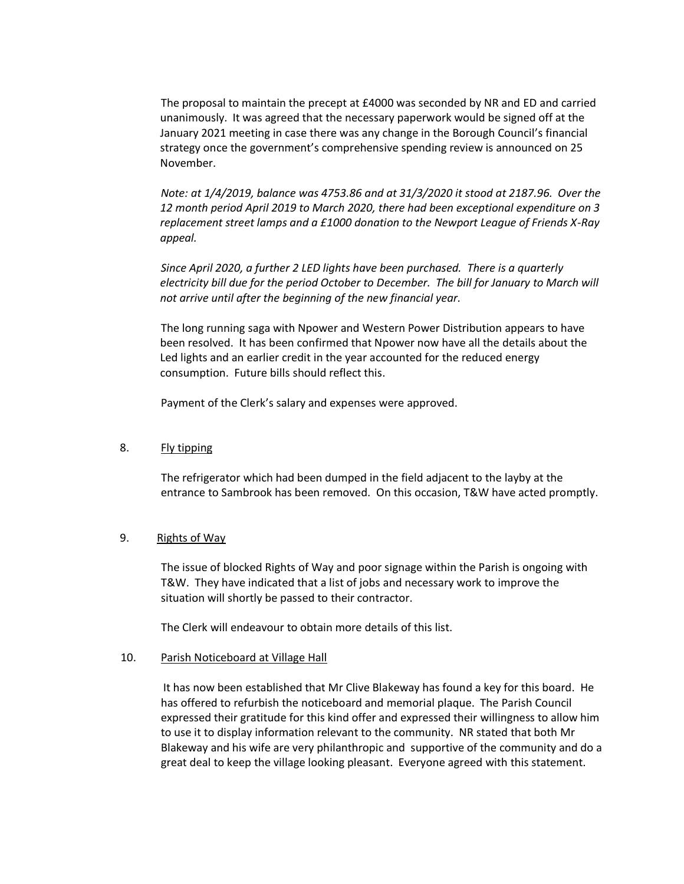The proposal to maintain the precept at £4000 was seconded by NR and ED and carried unanimously. It was agreed that the necessary paperwork would be signed off at the January 2021 meeting in case there was any change in the Borough Council's financial strategy once the government's comprehensive spending review is announced on 25 November.

*Note: at 1/4/2019, balance was 4753.86 and at 31/3/2020 it stood at 2187.96. Over the 12 month period April 2019 to March 2020, there had been exceptional expenditure on 3 replacement street lamps and a £1000 donation to the Newport League of Friends X-Ray appeal.* 

*Since April 2020, a further 2 LED lights have been purchased. There is a quarterly electricity bill due for the period October to December. The bill for January to March will not arrive until after the beginning of the new financial year.*

The long running saga with Npower and Western Power Distribution appears to have been resolved. It has been confirmed that Npower now have all the details about the Led lights and an earlier credit in the year accounted for the reduced energy consumption. Future bills should reflect this.

Payment of the Clerk's salary and expenses were approved.

# 8. Fly tipping

The refrigerator which had been dumped in the field adjacent to the layby at the entrance to Sambrook has been removed. On this occasion, T&W have acted promptly.

### 9. Rights of Way

The issue of blocked Rights of Way and poor signage within the Parish is ongoing with T&W. They have indicated that a list of jobs and necessary work to improve the situation will shortly be passed to their contractor.

The Clerk will endeavour to obtain more details of this list.

### 10. Parish Noticeboard at Village Hall

It has now been established that Mr Clive Blakeway has found a key for this board. He has offered to refurbish the noticeboard and memorial plaque. The Parish Council expressed their gratitude for this kind offer and expressed their willingness to allow him to use it to display information relevant to the community. NR stated that both Mr Blakeway and his wife are very philanthropic and supportive of the community and do a great deal to keep the village looking pleasant. Everyone agreed with this statement.